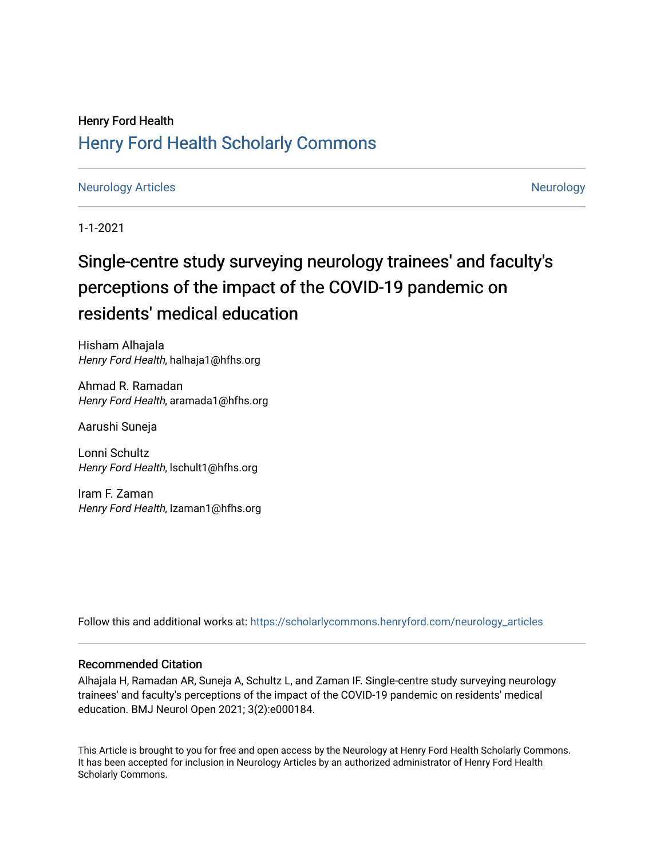### Henry Ford Health [Henry Ford Health Scholarly Commons](https://scholarlycommons.henryford.com/)

#### [Neurology Articles](https://scholarlycommons.henryford.com/neurology_articles) [Neurology](https://scholarlycommons.henryford.com/neurology) Articles

1-1-2021

## Single-centre study surveying neurology trainees' and faculty's perceptions of the impact of the COVID-19 pandemic on residents' medical education

Hisham Alhajala Henry Ford Health, halhaja1@hfhs.org

Ahmad R. Ramadan Henry Ford Health, aramada1@hfhs.org

Aarushi Suneja

Lonni Schultz Henry Ford Health, Ischult1@hfhs.org

Iram F. Zaman Henry Ford Health, Izaman1@hfhs.org

Follow this and additional works at: [https://scholarlycommons.henryford.com/neurology\\_articles](https://scholarlycommons.henryford.com/neurology_articles?utm_source=scholarlycommons.henryford.com%2Fneurology_articles%2F561&utm_medium=PDF&utm_campaign=PDFCoverPages) 

#### Recommended Citation

Alhajala H, Ramadan AR, Suneja A, Schultz L, and Zaman IF. Single-centre study surveying neurology trainees' and faculty's perceptions of the impact of the COVID-19 pandemic on residents' medical education. BMJ Neurol Open 2021; 3(2):e000184.

This Article is brought to you for free and open access by the Neurology at Henry Ford Health Scholarly Commons. It has been accepted for inclusion in Neurology Articles by an authorized administrator of Henry Ford Health Scholarly Commons.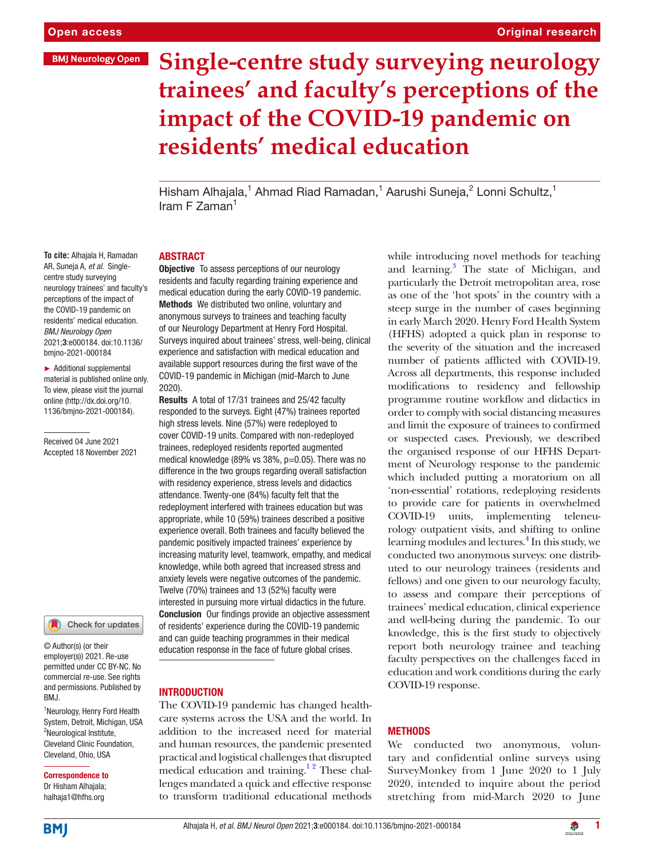# **Single-centre study surveying neurology trainees' and faculty's perceptions of the impact of the COVID-19 pandemic on residents' medical education**

Hisham Alhajala,<sup>1</sup> Ahmad Riad Ramadan,<sup>1</sup> Aarushi Suneja,<sup>2</sup> Lonni Schultz,<sup>1</sup> Iram F Zaman1

#### ABSTRACT

**Objective** To assess perceptions of our neurology residents and faculty regarding training experience and medical education during the early COVID-19 pandemic. Methods We distributed two online, voluntary and anonymous surveys to trainees and teaching faculty of our Neurology Department at Henry Ford Hospital. Surveys inquired about trainees' stress, well-being, clinical experience and satisfaction with medical education and available support resources during the first wave of the COVID-19 pandemic in Michigan (mid-March to June 2020).

Results A total of 17/31 trainees and 25/42 faculty responded to the surveys. Eight (47%) trainees reported high stress levels. Nine (57%) were redeployed to cover COVID-19 units. Compared with non-redeployed trainees, redeployed residents reported augmented medical knowledge (89% vs 38%, p=0.05). There was no difference in the two groups regarding overall satisfaction with residency experience, stress levels and didactics attendance. Twenty-one (84%) faculty felt that the redeployment interfered with trainees education but was appropriate, while 10 (59%) trainees described a positive experience overall. Both trainees and faculty believed the pandemic positively impacted trainees' experience by increasing maturity level, teamwork, empathy, and medical knowledge, while both agreed that increased stress and anxiety levels were negative outcomes of the pandemic. Twelve (70%) trainees and 13 (52%) faculty were interested in pursuing more virtual didactics in the future. Conclusion Our findings provide an objective assessment of residents' experience during the COVID-19 pandemic and can guide teaching programmes in their medical education response in the face of future global crises.

#### INTRODUCTION

The COVID-19 pandemic has changed healthcare systems across the USA and the world. In addition to the increased need for material and human resources, the pandemic presented practical and logistical challenges that disrupted medical education and training.<sup>12</sup> These challenges mandated a quick and effective response to transform traditional educational methods

while introducing novel methods for teaching and learning.<sup>3</sup> The state of Michigan, and particularly the Detroit metropolitan area, rose as one of the 'hot spots' in the country with a steep surge in the number of cases beginning in early March 2020. Henry Ford Health System (HFHS) adopted a quick plan in response to the severity of the situation and the increased number of patients afflicted with COVID-19. Across all departments, this response included modifications to residency and fellowship programme routine workflow and didactics in order to comply with social distancing measures and limit the exposure of trainees to confirmed or suspected cases. Previously, we described the organised response of our HFHS Department of Neurology response to the pandemic which included putting a moratorium on all 'non-essential' rotations, redeploying residents to provide care for patients in overwhelmed COVID-19 units, implementing teleneurology outpatient visits, and shifting to online learning modules and lectures.<sup>4</sup> In this study, we conducted two anonymous surveys: one distributed to our neurology trainees (residents and fellows) and one given to our neurology faculty, to assess and compare their perceptions of trainees' medical education, clinical experience and well-being during the pandemic. To our knowledge, this is the first study to objectively report both neurology trainee and teaching faculty perspectives on the challenges faced in education and work conditions during the early COVID-19 response.

#### **METHODS**

We conducted two anonymous, voluntary and confidential online surveys using SurveyMonkey from 1 June 2020 to 1 July 2020, intended to inquire about the period stretching from mid-March 2020 to June

**To cite:** Alhajala H, Ramadan AR, Suneja A*, et al*. Singlecentre study surveying neurology trainees' and faculty's perceptions of the impact of the COVID-19 pandemic on residents' medical education. *BMJ Neurology Open* 2021;3:e000184. doi:10.1136/ bmjno-2021-000184

► Additional supplemental material is published online only. To view, please visit the journal online [\(http://dx.doi.org/10.](http://dx.doi.org/10.1136/bmjno-2021-000184) [1136/bmjno-2021-000184](http://dx.doi.org/10.1136/bmjno-2021-000184)).

Received 04 June 2021 Accepted 18 November 2021

Check for updates

© Author(s) (or their employer(s)) 2021. Re-use permitted under CC BY-NC. No commercial re-use. See rights and permissions. Published by BMJ.

<sup>1</sup>Neurology, Henry Ford Health System, Detroit, Michigan, USA <sup>2</sup>Neurological Institute, Cleveland Clinic Foundation, Cleveland, Ohio, USA

Correspondence to Dr Hisham Alhajala; halhaja1@hfhs.org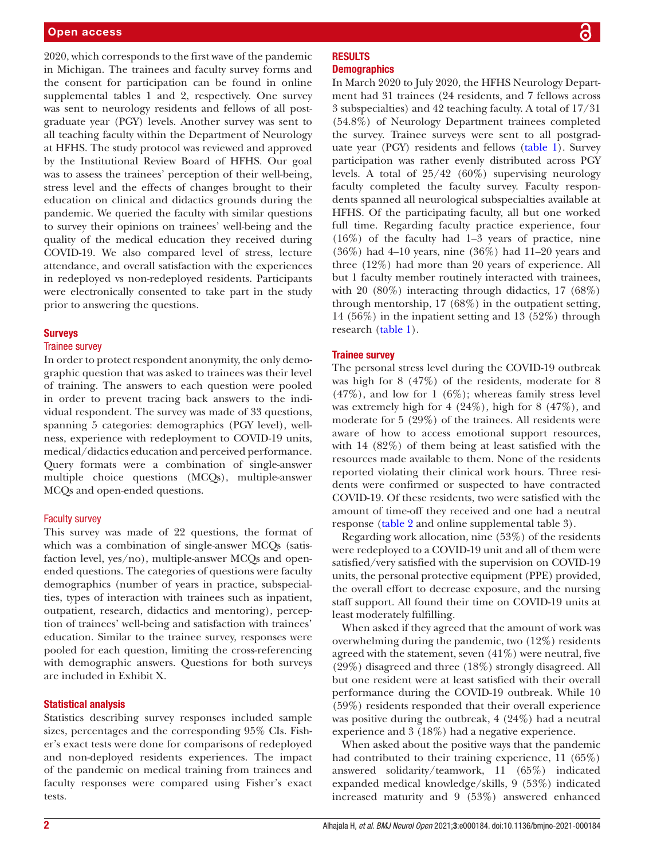2020, which corresponds to the first wave of the pandemic in Michigan. The trainees and faculty survey forms and the consent for participation can be found in [online](https://dx.doi.org/10.1136/bmjno-2021-000184) [supplemental tables 1 and 2](https://dx.doi.org/10.1136/bmjno-2021-000184), respectively. One survey was sent to neurology residents and fellows of all postgraduate year (PGY) levels. Another survey was sent to all teaching faculty within the Department of Neurology at HFHS. The study protocol was reviewed and approved by the Institutional Review Board of HFHS. Our goal was to assess the trainees' perception of their well-being, stress level and the effects of changes brought to their education on clinical and didactics grounds during the pandemic. We queried the faculty with similar questions to survey their opinions on trainees' well-being and the quality of the medical education they received during COVID-19. We also compared level of stress, lecture attendance, and overall satisfaction with the experiences in redeployed vs non-redeployed residents. Participants were electronically consented to take part in the study prior to answering the questions.

#### **Surveys**

#### Trainee survey

In order to protect respondent anonymity, the only demographic question that was asked to trainees was their level of training. The answers to each question were pooled in order to prevent tracing back answers to the individual respondent. The survey was made of 33 questions, spanning 5 categories: demographics (PGY level), wellness, experience with redeployment to COVID-19 units, medical/didactics education and perceived performance. Query formats were a combination of single-answer multiple choice questions (MCQs), multiple-answer MCQs and open-ended questions.

#### Faculty survey

This survey was made of 22 questions, the format of which was a combination of single-answer MCQs (satisfaction level, yes/no), multiple-answer MCQs and openended questions. The categories of questions were faculty demographics (number of years in practice, subspecialties, types of interaction with trainees such as inpatient, outpatient, research, didactics and mentoring), perception of trainees' well-being and satisfaction with trainees' education. Similar to the trainee survey, responses were pooled for each question, limiting the cross-referencing with demographic answers. Questions for both surveys are included in Exhibit X.

#### Statistical analysis

Statistics describing survey responses included sample sizes, percentages and the corresponding 95% CIs. Fisher's exact tests were done for comparisons of redeployed and non-deployed residents experiences. The impact of the pandemic on medical training from trainees and faculty responses were compared using Fisher's exact tests.

#### **RESULTS Demographics**

In March 2020 to July 2020, the HFHS Neurology Department had 31 trainees (24 residents, and 7 fellows across 3 subspecialties) and 42 teaching faculty. A total of 17/31 (54.8%) of Neurology Department trainees completed the survey. Trainee surveys were sent to all postgraduate year (PGY) residents and fellows [\(table](#page-3-0) 1). Survey participation was rather evenly distributed across PGY levels. A total of  $25/42$  (60%) supervising neurology faculty completed the faculty survey. Faculty respondents spanned all neurological subspecialties available at HFHS. Of the participating faculty, all but one worked full time. Regarding faculty practice experience, four (16%) of the faculty had 1–3 years of practice, nine (36%) had 4–10 years, nine (36%) had 11–20 years and three (12%) had more than 20 years of experience. All but 1 faculty member routinely interacted with trainees, with 20  $(80\%)$  interacting through didactics, 17  $(68\%)$ through mentorship, 17 (68%) in the outpatient setting, 14 (56%) in the inpatient setting and 13 (52%) through research ([table](#page-3-0) 1).

#### Trainee survey

The personal stress level during the COVID-19 outbreak was high for 8 (47%) of the residents, moderate for 8  $(47\%)$ , and low for 1  $(6\%)$ ; whereas family stress level was extremely high for 4 (24%), high for 8 (47%), and moderate for 5 (29%) of the trainees. All residents were aware of how to access emotional support resources, with 14 (82%) of them being at least satisfied with the resources made available to them. None of the residents reported violating their clinical work hours. Three residents were confirmed or suspected to have contracted COVID-19. Of these residents, two were satisfied with the amount of time-off they received and one had a neutral response [\(table](#page-4-0) 2 and [online supplemental table 3](https://dx.doi.org/10.1136/bmjno-2021-000184)).

Regarding work allocation, nine (53%) of the residents were redeployed to a COVID-19 unit and all of them were satisfied/very satisfied with the supervision on COVID-19 units, the personal protective equipment (PPE) provided, the overall effort to decrease exposure, and the nursing staff support. All found their time on COVID-19 units at least moderately fulfilling.

When asked if they agreed that the amount of work was overwhelming during the pandemic, two (12%) residents agreed with the statement, seven  $(41\%)$  were neutral, five (29%) disagreed and three (18%) strongly disagreed. All but one resident were at least satisfied with their overall performance during the COVID-19 outbreak. While 10 (59%) residents responded that their overall experience was positive during the outbreak, 4 (24%) had a neutral experience and 3 (18%) had a negative experience.

When asked about the positive ways that the pandemic had contributed to their training experience, 11 (65%) answered solidarity/teamwork, 11 (65%) indicated expanded medical knowledge/skills, 9 (53%) indicated increased maturity and 9 (53%) answered enhanced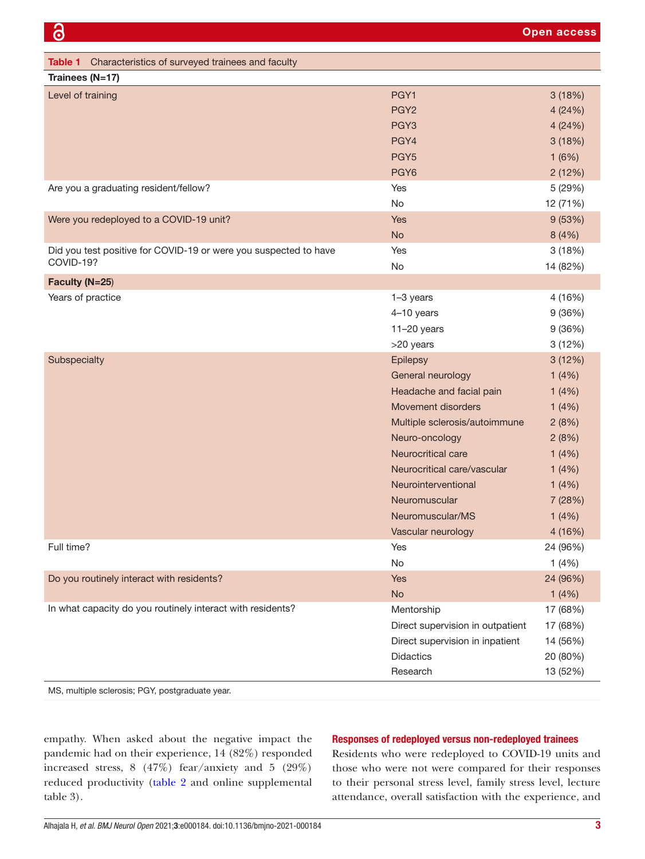<span id="page-3-0"></span>

| Table 1 Characteristics of surveyed trainees and faculty         |                                  |          |
|------------------------------------------------------------------|----------------------------------|----------|
| Trainees (N=17)                                                  |                                  |          |
| Level of training                                                | PGY1                             | 3(18%)   |
|                                                                  | PGY <sub>2</sub>                 | 4(24%)   |
|                                                                  | PGY <sub>3</sub>                 | 4 (24%)  |
|                                                                  | PGY4                             | 3(18%)   |
|                                                                  | PGY <sub>5</sub>                 | 1(6%)    |
|                                                                  | PGY <sub>6</sub>                 | 2(12%)   |
| Are you a graduating resident/fellow?                            | Yes                              | 5 (29%)  |
|                                                                  | No                               | 12 (71%) |
| Were you redeployed to a COVID-19 unit?                          | Yes                              | 9(53%)   |
|                                                                  | <b>No</b>                        | 8(4%)    |
| Did you test positive for COVID-19 or were you suspected to have | Yes                              | 3(18%)   |
| COVID-19?                                                        | No                               | 14 (82%) |
| Faculty (N=25)                                                   |                                  |          |
| Years of practice                                                | 1-3 years                        | 4 (16%)  |
|                                                                  | 4-10 years                       | 9(36%)   |
|                                                                  | $11-20$ years                    | 9(36%)   |
|                                                                  | >20 years                        | 3(12%)   |
| Subspecialty                                                     | Epilepsy                         | 3(12%)   |
|                                                                  | General neurology                | 1(4%)    |
|                                                                  | Headache and facial pain         | 1(4%)    |
|                                                                  | <b>Movement disorders</b>        | 1(4%)    |
|                                                                  | Multiple sclerosis/autoimmune    | 2(8%)    |
|                                                                  | Neuro-oncology                   | 2(8%)    |
|                                                                  | Neurocritical care               | 1(4%)    |
|                                                                  | Neurocritical care/vascular      | 1(4%)    |
|                                                                  | Neurointerventional              | 1(4%)    |
|                                                                  | Neuromuscular                    | 7 (28%)  |
|                                                                  | Neuromuscular/MS                 | 1(4%)    |
|                                                                  | Vascular neurology               | 4 (16%)  |
| Full time?                                                       | Yes                              | 24 (96%) |
|                                                                  | No                               | 1(4%)    |
| Do you routinely interact with residents?                        | <b>Yes</b>                       | 24 (96%) |
|                                                                  | <b>No</b>                        | 1(4%)    |
| In what capacity do you routinely interact with residents?       | Mentorship                       | 17 (68%) |
|                                                                  | Direct supervision in outpatient | 17 (68%) |
|                                                                  | Direct supervision in inpatient  | 14 (56%) |
|                                                                  | <b>Didactics</b>                 | 20 (80%) |
|                                                                  | Research                         | 13 (52%) |

MS, multiple sclerosis; PGY, postgraduate year.

empathy. When asked about the negative impact the pandemic had on their experience, 14 (82%) responded increased stress, 8 (47%) fear/anxiety and 5 (29%) reduced productivity [\(table](#page-4-0) 2 and [online supplemental](https://dx.doi.org/10.1136/bmjno-2021-000184) [table 3\)](https://dx.doi.org/10.1136/bmjno-2021-000184).

#### Responses of redeployed versus non-redeployed trainees

Residents who were redeployed to COVID-19 units and those who were not were compared for their responses to their personal stress level, family stress level, lecture attendance, overall satisfaction with the experience, and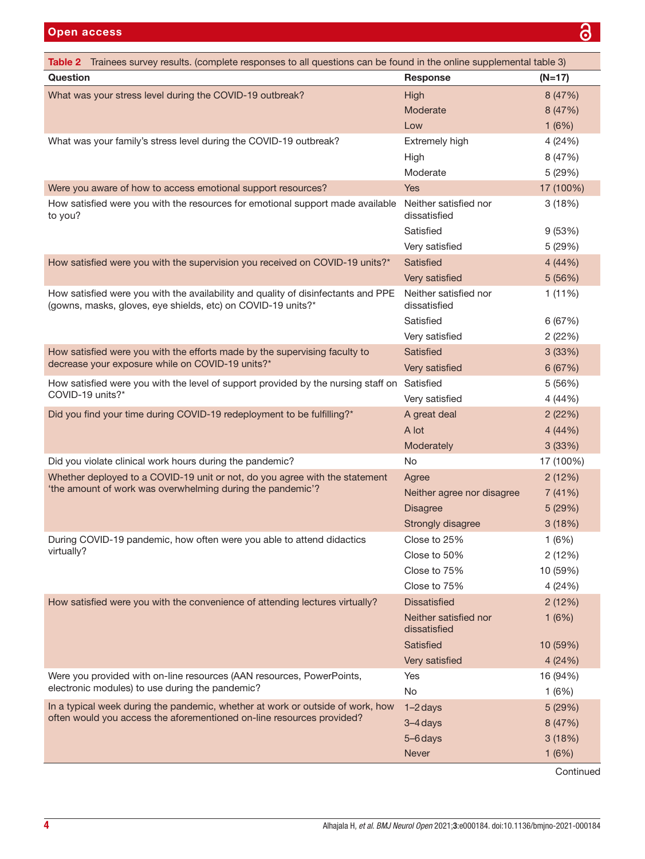<span id="page-4-0"></span>

| Table 2 Trainees survey results. (complete responses to all questions can be found in the online supplemental table 3)                            |                                       |           |  |  |  |
|---------------------------------------------------------------------------------------------------------------------------------------------------|---------------------------------------|-----------|--|--|--|
| Question                                                                                                                                          | <b>Response</b>                       | $(N=17)$  |  |  |  |
| What was your stress level during the COVID-19 outbreak?                                                                                          | High                                  | 8 (47%)   |  |  |  |
|                                                                                                                                                   | Moderate                              | 8 (47%)   |  |  |  |
|                                                                                                                                                   | Low                                   | 1(6%)     |  |  |  |
| What was your family's stress level during the COVID-19 outbreak?                                                                                 | Extremely high                        | 4 (24%)   |  |  |  |
|                                                                                                                                                   | High                                  | 8 (47%)   |  |  |  |
|                                                                                                                                                   | Moderate                              | 5 (29%)   |  |  |  |
| Were you aware of how to access emotional support resources?                                                                                      | <b>Yes</b>                            | 17 (100%) |  |  |  |
| How satisfied were you with the resources for emotional support made available<br>to you?                                                         | Neither satisfied nor<br>dissatisfied | 3(18%)    |  |  |  |
|                                                                                                                                                   | Satisfied                             | 9(53%)    |  |  |  |
|                                                                                                                                                   | Very satisfied                        | 5 (29%)   |  |  |  |
| How satisfied were you with the supervision you received on COVID-19 units?*                                                                      | <b>Satisfied</b>                      | 4(44%)    |  |  |  |
|                                                                                                                                                   | Very satisfied                        | 5 (56%)   |  |  |  |
| How satisfied were you with the availability and quality of disinfectants and PPE<br>(gowns, masks, gloves, eye shields, etc) on COVID-19 units?* | Neither satisfied nor<br>dissatisfied | 1(11%)    |  |  |  |
|                                                                                                                                                   | Satisfied                             | 6 (67%)   |  |  |  |
|                                                                                                                                                   | Very satisfied                        | 2(22%)    |  |  |  |
| How satisfied were you with the efforts made by the supervising faculty to                                                                        | <b>Satisfied</b>                      | 3(33%)    |  |  |  |
| decrease your exposure while on COVID-19 units?*                                                                                                  | Very satisfied                        | 6 (67%)   |  |  |  |
| How satisfied were you with the level of support provided by the nursing staff on                                                                 | Satisfied                             | 5 (56%)   |  |  |  |
| COVID-19 units?*                                                                                                                                  | Very satisfied                        | 4 (44%)   |  |  |  |
| Did you find your time during COVID-19 redeployment to be fulfilling?*                                                                            | A great deal                          | 2(22%)    |  |  |  |
|                                                                                                                                                   | A lot                                 | 4(44%)    |  |  |  |
|                                                                                                                                                   | Moderately                            | 3(33%)    |  |  |  |
| Did you violate clinical work hours during the pandemic?                                                                                          | No                                    | 17 (100%) |  |  |  |
| Whether deployed to a COVID-19 unit or not, do you agree with the statement                                                                       | Agree                                 | 2(12%)    |  |  |  |
| 'the amount of work was overwhelming during the pandemic'?                                                                                        | Neither agree nor disagree            | 7 (41%)   |  |  |  |
|                                                                                                                                                   | <b>Disagree</b>                       | 5(29%)    |  |  |  |
|                                                                                                                                                   | Strongly disagree                     | 3(18%)    |  |  |  |
| During COVID-19 pandemic, how often were you able to attend didactics                                                                             | Close to 25%                          | 1(6%)     |  |  |  |
| virtually?                                                                                                                                        | Close to 50%                          | 2(12%)    |  |  |  |
|                                                                                                                                                   | Close to 75%                          | 10 (59%)  |  |  |  |
|                                                                                                                                                   | Close to 75%                          | 4 (24%)   |  |  |  |
| How satisfied were you with the convenience of attending lectures virtually?                                                                      | <b>Dissatisfied</b>                   | 2(12%)    |  |  |  |
|                                                                                                                                                   | Neither satisfied nor<br>dissatisfied | 1(6%)     |  |  |  |
|                                                                                                                                                   | Satisfied                             | 10 (59%)  |  |  |  |
|                                                                                                                                                   | Very satisfied                        | 4 (24%)   |  |  |  |
| Were you provided with on-line resources (AAN resources, PowerPoints,                                                                             | Yes                                   | 16 (94%)  |  |  |  |
| electronic modules) to use during the pandemic?                                                                                                   | <b>No</b>                             | 1(6%)     |  |  |  |
| In a typical week during the pandemic, whether at work or outside of work, how                                                                    | $1-2$ days                            | 5 (29%)   |  |  |  |
| often would you access the aforementioned on-line resources provided?                                                                             | $3 - 4$ days                          | 8 (47%)   |  |  |  |
|                                                                                                                                                   | 5-6 days                              | 3(18%)    |  |  |  |
|                                                                                                                                                   | <b>Never</b>                          | 1(6%)     |  |  |  |

Continued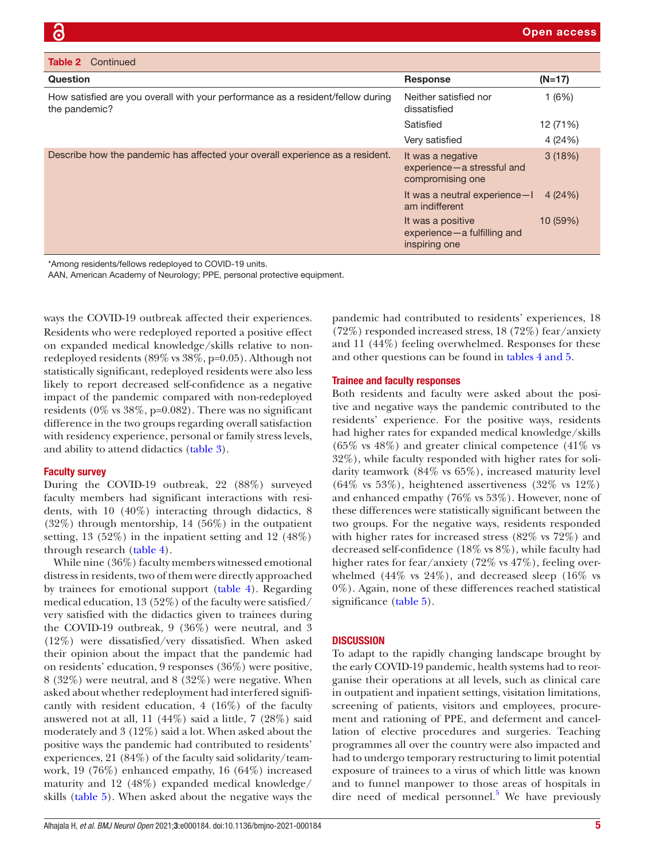| <b>Table 2</b> Continued                                                                                                          |                                                                       |          |
|-----------------------------------------------------------------------------------------------------------------------------------|-----------------------------------------------------------------------|----------|
| <b>Question</b>                                                                                                                   | <b>Response</b>                                                       | $(N=17)$ |
| How satisfied are you overall with your performance as a resident/fellow during<br>the pandemic?                                  | Neither satisfied nor<br>dissatisfied                                 | 1(6%)    |
|                                                                                                                                   | Satisfied                                                             | 12 (71%) |
|                                                                                                                                   | Very satisfied                                                        | 4(24%)   |
| Describe how the pandemic has affected your overall experience as a resident.                                                     | It was a negative<br>experience - a stressful and<br>compromising one | 3(18%)   |
|                                                                                                                                   | It was a neutral experience-I<br>am indifferent                       | 4 (24%)  |
|                                                                                                                                   | It was a positive<br>$experience - a$ fulfilling and<br>inspiring one | 10(59%)  |
| *Among residents/fellows redeployed to COVID-19 units.<br>AAN, American Academy of Neurology: PPE, personal protective equipment. |                                                                       |          |

ways the COVID-19 outbreak affected their experiences. Residents who were redeployed reported a positive effect on expanded medical knowledge/skills relative to nonredeployed residents (89% vs 38%, p=0.05). Although not statistically significant, redeployed residents were also less likely to report decreased self-confidence as a negative impact of the pandemic compared with non-redeployed residents ( $0\%$  vs  $38\%$ , p=0.082). There was no significant difference in the two groups regarding overall satisfaction with residency experience, personal or family stress levels, and ability to attend didactics [\(table](#page-6-0) 3).

#### Faculty survey

During the COVID-19 outbreak, 22 (88%) surveyed faculty members had significant interactions with residents, with 10 (40%) interacting through didactics, 8 (32%) through mentorship, 14 (56%) in the outpatient setting, 13 (52%) in the inpatient setting and 12 (48%) through research ([table](#page-8-0) 4).

While nine (36%) faculty members witnessed emotional distress in residents, two of them were directly approached by trainees for emotional support [\(table](#page-8-0) 4). Regarding medical education, 13 (52%) of the faculty were satisfied/ very satisfied with the didactics given to trainees during the COVID-19 outbreak, 9 (36%) were neutral, and 3 (12%) were dissatisfied/very dissatisfied. When asked their opinion about the impact that the pandemic had on residents' education, 9 responses (36%) were positive, 8 (32%) were neutral, and 8 (32%) were negative. When asked about whether redeployment had interfered significantly with resident education, 4 (16%) of the faculty answered not at all, 11 (44%) said a little, 7 (28%) said moderately and 3 (12%) said a lot. When asked about the positive ways the pandemic had contributed to residents' experiences, 21 (84%) of the faculty said solidarity/teamwork, 19 (76%) enhanced empathy, 16 (64%) increased maturity and 12 (48%) expanded medical knowledge/ skills [\(table](#page-9-0) 5). When asked about the negative ways the

pandemic had contributed to residents' experiences, 18 (72%) responded increased stress, 18 (72%) fear/anxiety and 11 (44%) feeling overwhelmed. Responses for these and other questions can be found in tables [4 and 5.](#page-8-0)

#### Trainee and faculty responses

Both residents and faculty were asked about the positive and negative ways the pandemic contributed to the residents' experience. For the positive ways, residents had higher rates for expanded medical knowledge/skills  $(65\% \text{ vs } 48\%)$  and greater clinical competence  $(41\% \text{ vs } 48\%)$ 32%), while faculty responded with higher rates for solidarity teamwork (84% vs 65%), increased maturity level  $(64\% \text{ vs } 53\%),$  heightened assertiveness  $(32\% \text{ vs } 12\%)$ and enhanced empathy (76% vs 53%). However, none of these differences were statistically significant between the two groups. For the negative ways, residents responded with higher rates for increased stress (82% vs 72%) and decreased self-confidence (18% vs 8%), while faculty had higher rates for fear/anxiety (72% vs 47%), feeling overwhelmed  $(44\% \text{ vs } 24\%)$ , and decreased sleep  $(16\% \text{ vs } 24\%)$ 0%). Again, none of these differences reached statistical significance [\(table](#page-9-0) 5).

#### **DISCUSSION**

To adapt to the rapidly changing landscape brought by the early COVID-19 pandemic, health systems had to reorganise their operations at all levels, such as clinical care in outpatient and inpatient settings, visitation limitations, screening of patients, visitors and employees, procurement and rationing of PPE, and deferment and cancellation of elective procedures and surgeries. Teaching programmes all over the country were also impacted and had to undergo temporary restructuring to limit potential exposure of trainees to a virus of which little was known and to funnel manpower to those areas of hospitals in dire need of medical personnel.<sup>[5](#page-10-3)</sup> We have previously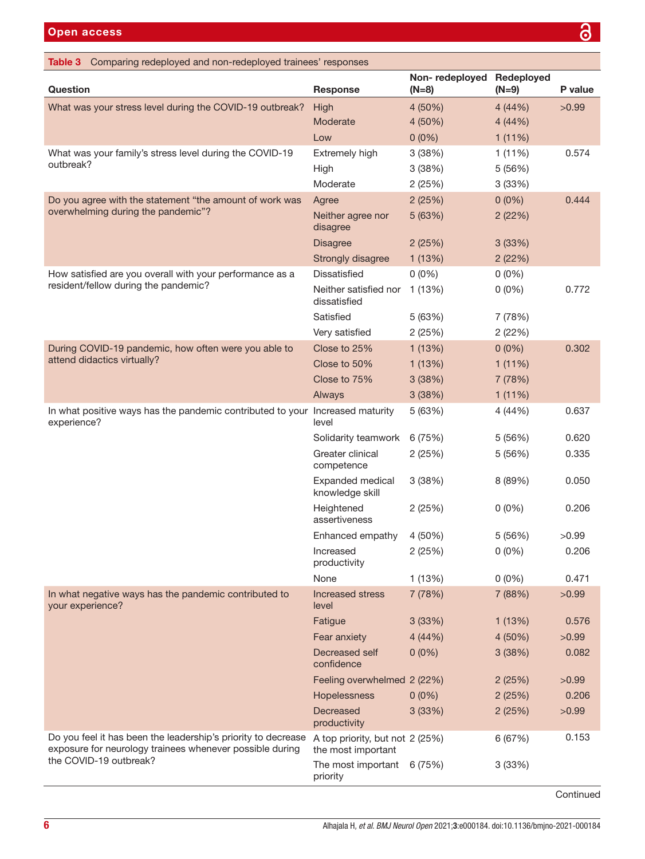<span id="page-6-0"></span>

| Table 3 Comparing redeployed and non-redeployed trainees' responses                                                       |                                                       |                                      |          |         |  |
|---------------------------------------------------------------------------------------------------------------------------|-------------------------------------------------------|--------------------------------------|----------|---------|--|
| <b>Question</b>                                                                                                           | <b>Response</b>                                       | Non-redeployed Redeployed<br>$(N=8)$ | $(N=9)$  | P value |  |
| What was your stress level during the COVID-19 outbreak?                                                                  | High                                                  | 4(50%)                               | 4(44%)   | >0.99   |  |
|                                                                                                                           | Moderate                                              | 4 (50%)                              | 4(44%)   |         |  |
|                                                                                                                           | Low                                                   | $0(0\%)$                             | 1(11%)   |         |  |
| What was your family's stress level during the COVID-19                                                                   | Extremely high                                        | 3(38%)                               | 1(11%)   | 0.574   |  |
| outbreak?                                                                                                                 | High                                                  | 3(38%)                               | 5 (56%)  |         |  |
|                                                                                                                           | Moderate                                              | 2(25%)                               | 3(33%)   |         |  |
| Do you agree with the statement "the amount of work was                                                                   | Agree                                                 | 2(25%)                               | $0(0\%)$ | 0.444   |  |
| overwhelming during the pandemic"?                                                                                        | Neither agree nor<br>disagree                         | 5(63%)                               | 2(22%)   |         |  |
|                                                                                                                           | <b>Disagree</b>                                       | 2(25%)                               | 3(33%)   |         |  |
|                                                                                                                           | Strongly disagree                                     | 1(13%)                               | 2(22%)   |         |  |
| How satisfied are you overall with your performance as a                                                                  | <b>Dissatisfied</b>                                   | $0(0\%)$                             | $0(0\%)$ |         |  |
| resident/fellow during the pandemic?                                                                                      | Neither satisfied nor<br>dissatisfied                 | 1 (13%)                              | $0(0\%)$ | 0.772   |  |
|                                                                                                                           | Satisfied                                             | 5(63%)                               | 7 (78%)  |         |  |
|                                                                                                                           | Very satisfied                                        | 2(25%)                               | 2(22%)   |         |  |
| During COVID-19 pandemic, how often were you able to                                                                      | Close to 25%                                          | 1(13%)                               | $0(0\%)$ | 0.302   |  |
| attend didactics virtually?                                                                                               | Close to 50%                                          | 1(13%)                               | 1(11%)   |         |  |
|                                                                                                                           | Close to 75%                                          | 3(38%)                               | 7 (78%)  |         |  |
|                                                                                                                           | Always                                                | 3(38%)                               | 1(11%)   |         |  |
| In what positive ways has the pandemic contributed to your Increased maturity<br>experience?                              | level                                                 | 5(63%)                               | 4 (44%)  | 0.637   |  |
|                                                                                                                           | Solidarity teamwork                                   | 6 (75%)                              | 5 (56%)  | 0.620   |  |
|                                                                                                                           | Greater clinical<br>competence                        | 2(25%)                               | 5(56%)   | 0.335   |  |
|                                                                                                                           | Expanded medical<br>knowledge skill                   | 3(38%)                               | 8 (89%)  | 0.050   |  |
|                                                                                                                           | Heightened<br>assertiveness                           | 2(25%)                               | $0(0\%)$ | 0.206   |  |
|                                                                                                                           | Enhanced empathy                                      | 4 (50%)                              | 5 (56%)  | >0.99   |  |
|                                                                                                                           | Increased<br>productivity                             | 2(25%)                               | $0(0\%)$ | 0.206   |  |
|                                                                                                                           | None                                                  | 1(13%)                               | $0(0\%)$ | 0.471   |  |
| In what negative ways has the pandemic contributed to<br>your experience?                                                 | <b>Increased stress</b><br>level                      | 7 (78%)                              | 7 (88%)  | >0.99   |  |
|                                                                                                                           | Fatigue                                               | 3(33%)                               | 1(13%)   | 0.576   |  |
|                                                                                                                           | Fear anxiety                                          | 4(44%)                               | 4 (50%)  | >0.99   |  |
|                                                                                                                           | Decreased self<br>confidence                          | $0(0\%)$                             | 3(38%)   | 0.082   |  |
|                                                                                                                           | Feeling overwhelmed 2 (22%)                           |                                      | 2(25%)   | >0.99   |  |
|                                                                                                                           | Hopelessness                                          | $0(0\%)$                             | 2(25%)   | 0.206   |  |
|                                                                                                                           | Decreased<br>productivity                             | 3(33%)                               | 2(25%)   | >0.99   |  |
| Do you feel it has been the leadership's priority to decrease<br>exposure for neurology trainees whenever possible during | A top priority, but not 2 (25%)<br>the most important |                                      | 6 (67%)  | 0.153   |  |
| the COVID-19 outbreak?                                                                                                    | The most important<br>priority                        | 6 (75%)                              | 3(33%)   |         |  |

#### Continued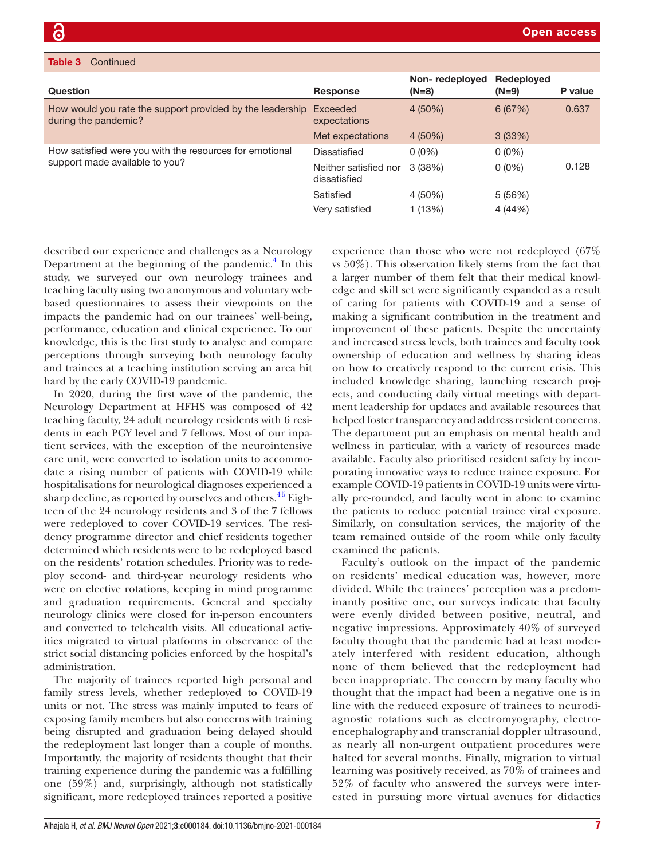| <b>ROBE OF CONTRIGUES</b>                                                                  |                                       |                           |                       |         |
|--------------------------------------------------------------------------------------------|---------------------------------------|---------------------------|-----------------------|---------|
| Question                                                                                   | <b>Response</b>                       | Non-redeployed<br>$(N=8)$ | Redeployed<br>$(N=9)$ | P value |
| How would you rate the support provided by the leadership Exceeded<br>during the pandemic? | expectations                          | $4(50\%)$                 | 6(67%)                | 0.637   |
|                                                                                            | Met expectations                      | $4(50\%)$                 | 3(33%)                |         |
| How satisfied were you with the resources for emotional<br>support made available to you?  | Dissatisfied                          | $0(0\%)$                  | $0(0\%)$              |         |
|                                                                                            | Neither satisfied nor<br>dissatisfied | 3(38%)                    | $0(0\%)$              | 0.128   |
|                                                                                            | Satisfied                             | 4 (50%)                   | 5(56%)                |         |
|                                                                                            | Very satisfied                        | 1 (13%)                   | 4 (44%)               |         |

described our experience and challenges as a Neurology Department at the beginning of the pandemic.<sup>4</sup> In this study, we surveyed our own neurology trainees and teaching faculty using two anonymous and voluntary webbased questionnaires to assess their viewpoints on the impacts the pandemic had on our trainees' well-being, performance, education and clinical experience. To our knowledge, this is the first study to analyse and compare perceptions through surveying both neurology faculty and trainees at a teaching institution serving an area hit hard by the early COVID-19 pandemic.

In 2020, during the first wave of the pandemic, the Neurology Department at HFHS was composed of 42 teaching faculty, 24 adult neurology residents with 6 residents in each PGY level and 7 fellows. Most of our inpatient services, with the exception of the neurointensive care unit, were converted to isolation units to accommodate a rising number of patients with COVID-19 while hospitalisations for neurological diagnoses experienced a sharp decline, as reported by ourselves and others.  $45$  Eighteen of the 24 neurology residents and 3 of the 7 fellows were redeployed to cover COVID-19 services. The residency programme director and chief residents together determined which residents were to be redeployed based on the residents' rotation schedules. Priority was to redeploy second- and third-year neurology residents who were on elective rotations, keeping in mind programme and graduation requirements. General and specialty neurology clinics were closed for in-person encounters and converted to telehealth visits. All educational activities migrated to virtual platforms in observance of the strict social distancing policies enforced by the hospital's administration.

The majority of trainees reported high personal and family stress levels, whether redeployed to COVID-19 units or not. The stress was mainly imputed to fears of exposing family members but also concerns with training being disrupted and graduation being delayed should the redeployment last longer than a couple of months. Importantly, the majority of residents thought that their training experience during the pandemic was a fulfilling one (59%) and, surprisingly, although not statistically significant, more redeployed trainees reported a positive

experience than those who were not redeployed (67% vs 50%). This observation likely stems from the fact that a larger number of them felt that their medical knowledge and skill set were significantly expanded as a result of caring for patients with COVID-19 and a sense of making a significant contribution in the treatment and improvement of these patients. Despite the uncertainty and increased stress levels, both trainees and faculty took ownership of education and wellness by sharing ideas on how to creatively respond to the current crisis. This included knowledge sharing, launching research projects, and conducting daily virtual meetings with department leadership for updates and available resources that helped foster transparency and address resident concerns. The department put an emphasis on mental health and wellness in particular, with a variety of resources made available. Faculty also prioritised resident safety by incorporating innovative ways to reduce trainee exposure. For example COVID-19 patients in COVID-19 units were virtually pre-rounded, and faculty went in alone to examine the patients to reduce potential trainee viral exposure. Similarly, on consultation services, the majority of the team remained outside of the room while only faculty examined the patients.

Faculty's outlook on the impact of the pandemic on residents' medical education was, however, more divided. While the trainees' perception was a predominantly positive one, our surveys indicate that faculty were evenly divided between positive, neutral, and negative impressions. Approximately 40% of surveyed faculty thought that the pandemic had at least moderately interfered with resident education, although none of them believed that the redeployment had been inappropriate. The concern by many faculty who thought that the impact had been a negative one is in line with the reduced exposure of trainees to neurodiagnostic rotations such as electromyography, electroencephalography and transcranial doppler ultrasound, as nearly all non-urgent outpatient procedures were halted for several months. Finally, migration to virtual learning was positively received, as 70% of trainees and 52% of faculty who answered the surveys were interested in pursuing more virtual avenues for didactics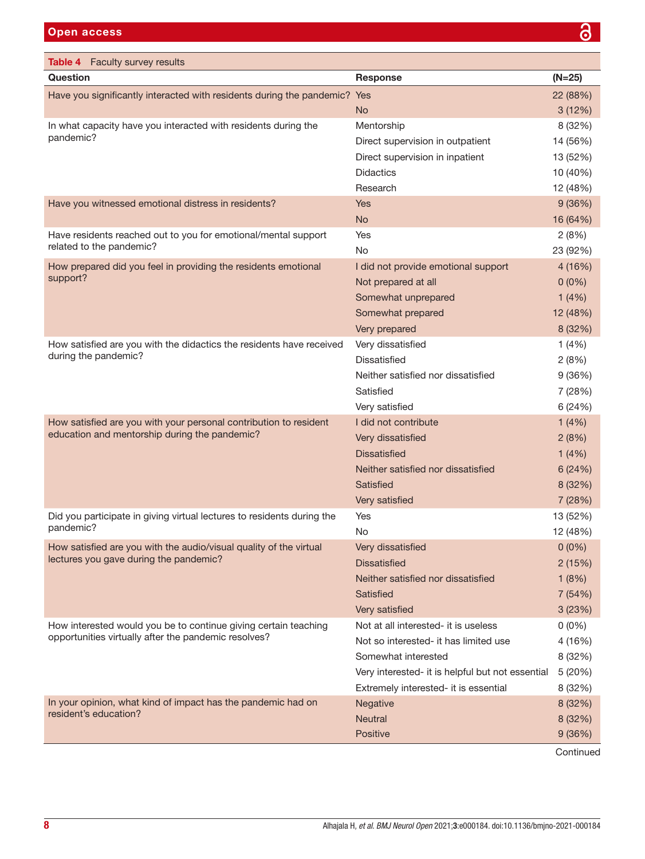<span id="page-8-0"></span>Table 4 Faculty survey results

| <b>Table 4</b> Faculty survey results                                     |                                                  |          |
|---------------------------------------------------------------------------|--------------------------------------------------|----------|
| Question                                                                  | <b>Response</b>                                  | $(N=25)$ |
| Have you significantly interacted with residents during the pandemic? Yes |                                                  | 22 (88%) |
|                                                                           | <b>No</b>                                        | 3(12%)   |
| In what capacity have you interacted with residents during the            | Mentorship                                       | 8 (32%)  |
| pandemic?                                                                 | Direct supervision in outpatient                 | 14 (56%) |
|                                                                           | Direct supervision in inpatient                  | 13 (52%) |
|                                                                           | <b>Didactics</b>                                 | 10 (40%) |
|                                                                           | Research                                         | 12 (48%) |
| Have you witnessed emotional distress in residents?                       | <b>Yes</b>                                       | 9(36%)   |
|                                                                           | <b>No</b>                                        | 16 (64%) |
| Have residents reached out to you for emotional/mental support            | Yes                                              | 2(8%)    |
| related to the pandemic?                                                  | No                                               | 23 (92%) |
| How prepared did you feel in providing the residents emotional            | I did not provide emotional support              | 4 (16%)  |
| support?                                                                  | Not prepared at all                              | $0(0\%)$ |
|                                                                           | Somewhat unprepared                              | 1(4%)    |
|                                                                           | Somewhat prepared                                | 12 (48%) |
|                                                                           | Very prepared                                    | 8 (32%)  |
| How satisfied are you with the didactics the residents have received      | Very dissatisfied                                | 1(4%)    |
| during the pandemic?                                                      | Dissatisfied                                     | 2(8%)    |
|                                                                           | Neither satisfied nor dissatisfied               | 9(36%)   |
|                                                                           | Satisfied                                        | 7 (28%)  |
|                                                                           | Very satisfied                                   | 6 (24%)  |
| How satisfied are you with your personal contribution to resident         | I did not contribute                             | 1(4%)    |
| education and mentorship during the pandemic?                             | Very dissatisfied                                | 2(8%)    |
|                                                                           | <b>Dissatisfied</b>                              | 1(4%)    |
|                                                                           | Neither satisfied nor dissatisfied               | 6(24%)   |
|                                                                           | Satisfied                                        | 8 (32%)  |
|                                                                           | Very satisfied                                   | 7 (28%)  |
| Did you participate in giving virtual lectures to residents during the    | Yes                                              | 13 (52%) |
| pandemic?                                                                 | <b>No</b>                                        | 12 (48%) |
| How satisfied are you with the audio/visual quality of the virtual        | Very dissatisfied                                | $0(0\%)$ |
| lectures you gave during the pandemic?                                    | <b>Dissatisfied</b>                              | 2(15%)   |
|                                                                           | Neither satisfied nor dissatisfied               | 1(8%)    |
|                                                                           | Satisfied                                        | 7(54%)   |
|                                                                           | Very satisfied                                   | 3(23%)   |
| How interested would you be to continue giving certain teaching           | Not at all interested- it is useless             | $0(0\%)$ |
| opportunities virtually after the pandemic resolves?                      | Not so interested- it has limited use            | 4 (16%)  |
|                                                                           | Somewhat interested                              | 8 (32%)  |
|                                                                           | Very interested- it is helpful but not essential | 5 (20%)  |
|                                                                           | Extremely interested- it is essential            | 8 (32%)  |
| In your opinion, what kind of impact has the pandemic had on              | Negative                                         | 8 (32%)  |
| resident's education?                                                     | <b>Neutral</b>                                   | 8 (32%)  |
|                                                                           | Positive                                         | 9(36%)   |
|                                                                           |                                                  |          |

Continued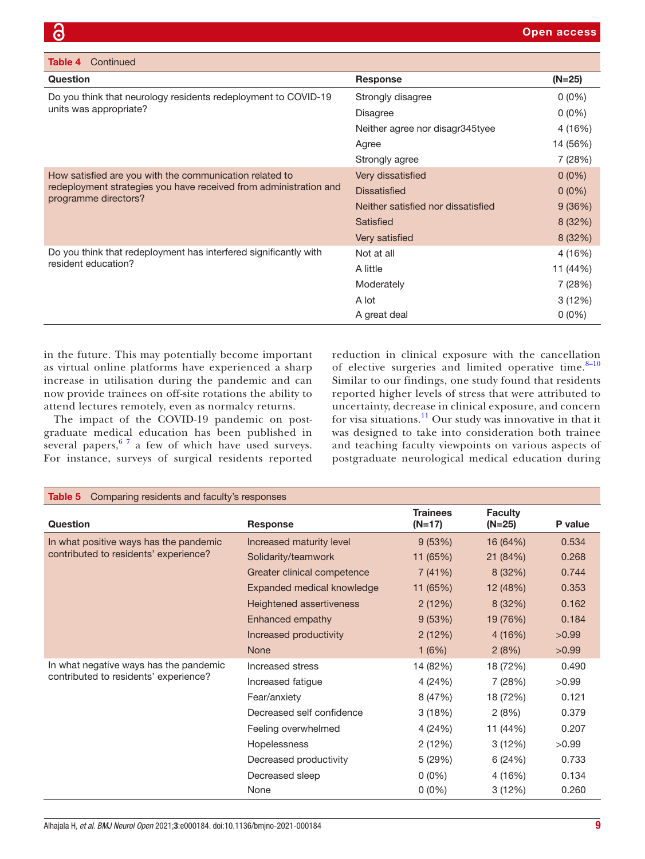| Continued<br>Table 4                                                                      |                                    |          |
|-------------------------------------------------------------------------------------------|------------------------------------|----------|
| Question                                                                                  | <b>Response</b>                    | $(N=25)$ |
| Do you think that neurology residents redeployment to COVID-19<br>units was appropriate?  | Strongly disagree                  | $0(0\%)$ |
|                                                                                           | <b>Disagree</b>                    | $0(0\%)$ |
|                                                                                           | Neither agree nor disagr345tyee    | 4 (16%)  |
|                                                                                           | Agree                              | 14 (56%) |
|                                                                                           | Strongly agree                     | 7 (28%)  |
| How satisfied are you with the communication related to                                   | Very dissatisfied                  | $0(0\%)$ |
| redeployment strategies you have received from administration and<br>programme directors? | <b>Dissatisfied</b>                | $0(0\%)$ |
|                                                                                           | Neither satisfied nor dissatisfied | 9(36%)   |
|                                                                                           | Satisfied                          | 8(32%)   |
|                                                                                           | Very satisfied                     | 8(32%)   |
| Do you think that redeployment has interfered significantly with                          | Not at all                         | 4 (16%)  |
| resident education?                                                                       | A little                           | 11 (44%) |
|                                                                                           | Moderately                         | 7 (28%)  |
|                                                                                           | A lot                              | 3(12%)   |
|                                                                                           | A great deal                       | $0(0\%)$ |

in the future. This may potentially become important as virtual online platforms have experienced a sharp increase in utilisation during the pandemic and can now provide trainees on off-site rotations the ability to attend lectures remotely, even as normalcy returns.

The impact of the COVID-19 pandemic on postgraduate medical education has been published in several papers,  $67$  a few of which have used surveys. For instance, surveys of surgical residents reported reduction in clinical exposure with the cancellation of elective surgeries and limited operative time. $8-10$ Similar to our findings, one study found that residents reported higher levels of stress that were attributed to uncertainty, decrease in clinical exposure, and concern for visa situations.[11](#page-10-6) Our study was innovative in that it was designed to take into consideration both trainee and teaching faculty viewpoints on various aspects of postgraduate neurological medical education during

<span id="page-9-0"></span>

| Comparing residents and faculty's responses<br>Table 5 |                                 |                             |                            |         |
|--------------------------------------------------------|---------------------------------|-----------------------------|----------------------------|---------|
| Question                                               | <b>Response</b>                 | <b>Trainees</b><br>$(N=17)$ | <b>Faculty</b><br>$(N=25)$ | P value |
| In what positive ways has the pandemic                 | Increased maturity level        | 9(53%)                      | 16 (64%)                   | 0.534   |
| contributed to residents' experience?                  | Solidarity/teamwork             | 11 (65%)                    | 21 (84%)                   | 0.268   |
|                                                        | Greater clinical competence     | 7(41%)                      | 8(32%)                     | 0.744   |
|                                                        | Expanded medical knowledge      | 11 (65%)                    | 12 (48%)                   | 0.353   |
|                                                        | <b>Heightened assertiveness</b> | 2(12%)                      | 8(32%)                     | 0.162   |
|                                                        | Enhanced empathy                | 9(53%)                      | 19 (76%)                   | 0.184   |
|                                                        | Increased productivity          | 2(12%)                      | 4(16%)                     | >0.99   |
|                                                        | <b>None</b>                     | 1(6%)                       | 2(8%)                      | >0.99   |
| In what negative ways has the pandemic                 | Increased stress                | 14 (82%)                    | 18 (72%)                   | 0.490   |
| contributed to residents' experience?                  | Increased fatigue               | 4(24%)                      | 7 (28%)                    | >0.99   |
|                                                        | Fear/anxiety                    | 8 (47%)                     | 18 (72%)                   | 0.121   |
|                                                        | Decreased self confidence       | 3(18%)                      | 2(8%)                      | 0.379   |
|                                                        | Feeling overwhelmed             | 4 (24%)                     | 11 (44%)                   | 0.207   |
|                                                        | Hopelessness                    | 2(12%)                      | 3(12%)                     | >0.99   |
|                                                        | Decreased productivity          | 5(29%)                      | 6(24%)                     | 0.733   |
|                                                        | Decreased sleep                 | $0(0\%)$                    | 4 (16%)                    | 0.134   |
|                                                        | None                            | $0(0\%)$                    | 3(12%)                     | 0.260   |